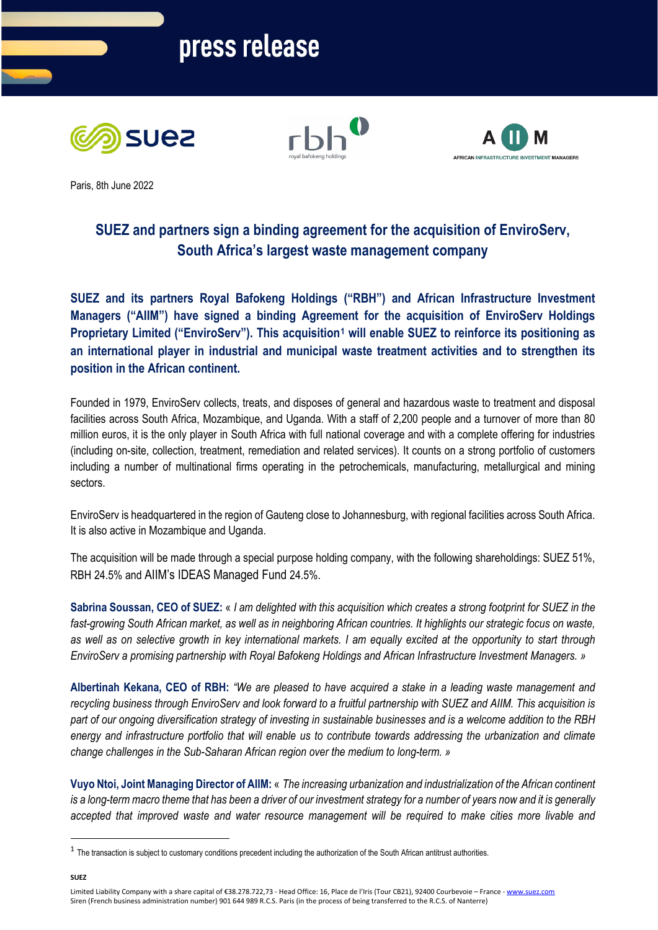





Paris, 8th June 2022

# **SUEZ and partners sign a binding agreement for the acquisition of EnviroServ, South Africa's largest waste management company**

**SUEZ and its partners Royal Bafokeng Holdings ("RBH") and African Infrastructure Investment Managers ("AIIM") have signed a binding Agreement for the acquisition of EnviroServ Holdings Proprietary Limited ("EnviroServ"). This acquisition[1](#page-0-0) will enable SUEZ to reinforce its positioning as an international player in industrial and municipal waste treatment activities and to strengthen its position in the African continent.**

Founded in 1979, EnviroServ collects, treats, and disposes of general and hazardous waste to treatment and disposal facilities across South Africa, Mozambique, and Uganda. With a staff of 2,200 people and a turnover of more than 80 million euros, it is the only player in South Africa with full national coverage and with a complete offering for industries (including on-site, collection, treatment, remediation and related services). It counts on a strong portfolio of customers including a number of multinational firms operating in the petrochemicals, manufacturing, metallurgical and mining sectors.

EnviroServ is headquartered in the region of Gauteng close to Johannesburg, with regional facilities across South Africa. It is also active in Mozambique and Uganda.

The acquisition will be made through a special purpose holding company, with the following shareholdings: SUEZ 51%, RBH 24.5% and AIIM's IDEAS Managed Fund 24.5%.

**Sabrina Soussan, CEO of SUEZ:** « *I am delighted with this acquisition which creates a strong footprint for SUEZ in the fast-growing South African market, as well as in neighboring African countries. It highlights our strategic focus on waste, as well as on selective growth in key international markets. I am equally excited at the opportunity to start through EnviroServ a promising partnership with Royal Bafokeng Holdings and African Infrastructure Investment Managers. »*

**Albertinah Kekana, CEO of RBH:** *"We are pleased to have acquired a stake in a leading waste management and recycling business through EnviroServ and look forward to a fruitful partnership with SUEZ and AIIM. This acquisition is part of our ongoing diversification strategy of investing in sustainable businesses and is a welcome addition to the RBH energy and infrastructure portfolio that will enable us to contribute towards addressing the urbanization and climate change challenges in the Sub-Saharan African region over the medium to long-term. »*

**Vuyo Ntoi, Joint Managing Director of AIIM:** « *The increasing urbanization and industrialization of the African continent is a long-term macro theme that has been a driver of our investment strategy for a number of years now and it is generally accepted that improved waste and water resource management will be required to make cities more livable and* 

**SUEZ**

<span id="page-0-0"></span> $1$  The transaction is subject to customary conditions precedent including the authorization of the South African antitrust authorities.

Limited Liability Company with a share capital of €38.278.722,73 - Head Office: 16, Place de l'Iris (Tour CB21), 92400 Courbevoie – France - www.suez.com Siren (French business administration number) 901 644 989 R.C.S. Paris (in the process of being transferred to the R.C.S. of Nanterre)